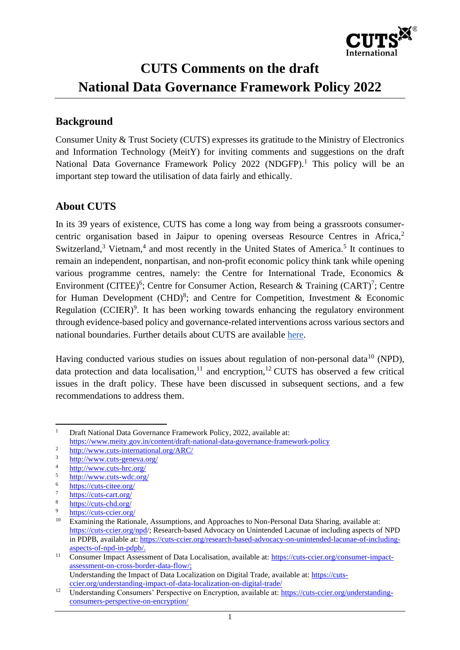

# **CUTS Comments on the draft National Data Governance Framework Policy 2022**

# **Background**

Consumer Unity & Trust Society (CUTS) expresses its gratitude to the Ministry of Electronics and Information Technology (MeitY) for inviting comments and suggestions on the draft National Data Governance Framework Policy  $2022$  (NDGFP).<sup>1</sup> This policy will be an important step toward the utilisation of data fairly and ethically.

# **About CUTS**

In its 39 years of existence, CUTS has come a long way from being a grassroots consumercentric organisation based in Jaipur to opening overseas Resource Centres in Africa,<sup>2</sup> Switzerland, $3$  Vietnam, $4$  and most recently in the United States of America.<sup>5</sup> It continues to remain an independent, nonpartisan, and non-profit economic policy think tank while opening various programme centres, namely: the Centre for International Trade, Economics & Environment (CITEE)<sup>6</sup>; Centre for Consumer Action, Research & Training (CART)<sup>7</sup>; Centre for Human Development (CHD)<sup>8</sup>; and Centre for Competition, Investment & Economic Regulation (CCIER) $9$ . It has been working towards enhancing the regulatory environment through evidence-based policy and governance-related interventions across various sectors and national boundaries. Further details about CUTS are availabl[e](https://cuts-international.org/) [here.](https://cuts-international.org/)

Having conducted various studies on issues about regulation of non-personal data<sup>10</sup> (NPD), data protection and data localisation, $11$  and encryption, $12$  CUTS has observed a few critical issues in the draft policy. These have been discussed in subsequent sections, and a few recommendations to address them.

<sup>&</sup>lt;sup>1</sup> Draft National Data Governance Framework Policy, 2022, available at: <https://www.meity.gov.in/content/draft-national-data-governance-framework-policy>

<sup>2</sup> <http://www.cuts-international.org/ARC/>

 $\frac{3}{4}$  <http://www.cuts-geneva.org/>

 $\frac{4}{5}$  <http://www.cuts-hrc.org/>

 $\frac{\text{http://www.cuts-wdc.org/}}{6}$  $\frac{\text{http://www.cuts-wdc.org/}}{6}$  $\frac{\text{http://www.cuts-wdc.org/}}{6}$ 

 $rac{6}{7}$  <https://cuts-citee.org/>

 $\frac{7}{8}$  <https://cuts-cart.org/>

 $\frac{8}{9}$  <https://cuts-chd.org/>

 $rac{9}{10}$  <https://cuts-ccier.org/>

Examining the Rationale, Assumptions, and Approaches to Non-Personal Data Sharing, available at: <https://cuts-ccier.org/npd/>; Research-based Advocacy on Unintended Lacunae of including aspects of NPD in PDPB, available at: https://cuts-ccier.org/research-based-advocacy-on-unintended-lacunae-of-includingaspects-of-npd-in-pdpb/.

<sup>&</sup>lt;sup>11</sup> Consumer Impact Assessment of Data Localisation, available at: [https://cuts-ccier.org/consumer-impact](https://cuts-ccier.org/consumer-impact-assessment-on-cross-border-data-flow/)[assessment-on-cross-border-data-flow/;](https://cuts-ccier.org/consumer-impact-assessment-on-cross-border-data-flow/) Understanding the Impact of Data Localization on Digital Trade, available at: [https://cuts-](https://cuts-ccier.org/understanding-impact-of-data-localization-on-digital-trade/)

[ccier.org/understanding-impact-of-data-localization-on-digital-trade/](https://cuts-ccier.org/understanding-impact-of-data-localization-on-digital-trade/) <sup>12</sup> Understanding Consumers' Perspective on Encryption, available at: [https://cuts-ccier.org/understanding](https://cuts-ccier.org/understanding-consumers-perspective-on-encryption/)[consumers-perspective-on-encryption/](https://cuts-ccier.org/understanding-consumers-perspective-on-encryption/)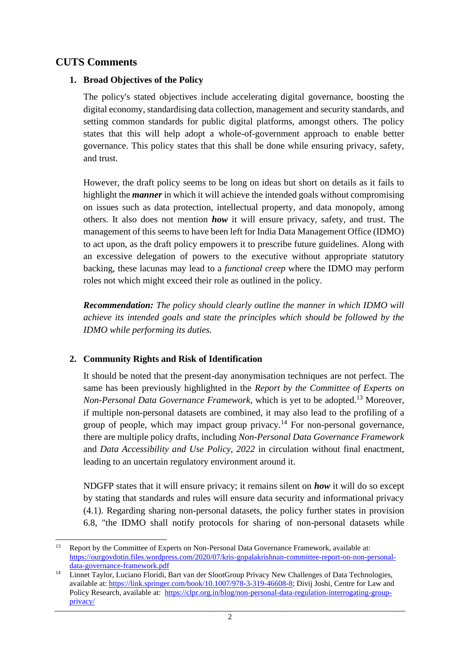## **CUTS Comments**

#### **1. Broad Objectives of the Policy**

The policy's stated objectives include accelerating digital governance, boosting the digital economy, standardising data collection, management and security standards, and setting common standards for public digital platforms, amongst others. The policy states that this will help adopt a whole-of-government approach to enable better governance. This policy states that this shall be done while ensuring privacy, safety, and trust.

However, the draft policy seems to be long on ideas but short on details as it fails to highlight the *manner* in which it will achieve the intended goals without compromising on issues such as data protection, intellectual property, and data monopoly, among others. It also does not mention *how* it will ensure privacy, safety, and trust. The management of this seems to have been left for India Data Management Office (IDMO) to act upon, as the draft policy empowers it to prescribe future guidelines. Along with an excessive delegation of powers to the executive without appropriate statutory backing, these lacunas may lead to a *functional creep* where the IDMO may perform roles not which might exceed their role as outlined in the policy.

*Recommendation: The policy should clearly outline the manner in which IDMO will achieve its intended goals and state the principles which should be followed by the IDMO while performing its duties.* 

## **2. Community Rights and Risk of Identification**

It should be noted that the present-day anonymisation techniques are not perfect. The same has been previously highlighted in the *Report by the Committee of Experts on Non-Personal Data Governance Framework,* which is yet to be adopted.<sup>13</sup> Moreover, if multiple non-personal datasets are combined, it may also lead to the profiling of a group of people, which may impact group privacy.<sup>14</sup> For non-personal governance, there are multiple policy drafts, including *Non-Personal Data Governance Framework*  and *Data Accessibility and Use Policy, 2022* in circulation without final enactment, leading to an uncertain regulatory environment around it.

NDGFP states that it will ensure privacy; it remains silent on *how* it will do so except by stating that standards and rules will ensure data security and informational privacy (4.1). Regarding sharing non-personal datasets, the policy further states in provision 6.8, "the IDMO shall notify protocols for sharing of non-personal datasets while

<sup>&</sup>lt;sup>13</sup> Report by the Committee of Experts on Non-Personal Data Governance Framework, available at: [https://ourgovdotin.files.wordpress.com/2020/07/kris-gopalakrishnan-committee-report-on-non-personal](https://ourgovdotin.files.wordpress.com/2020/07/kris-gopalakrishnan-committee-report-on-non-personal-data-governance-framework.pdf)[data-governance-framework.pdf](https://ourgovdotin.files.wordpress.com/2020/07/kris-gopalakrishnan-committee-report-on-non-personal-data-governance-framework.pdf)

<sup>14</sup> Linnet Taylor, Luciano Floridi, Bart van der SlootGroup Privacy New Challenges of Data Technologies, available at: [https://link.springer.com/book/10.1007/978-3-319-46608-8;](https://link.springer.com/book/10.1007/978-3-319-46608-8) Divij Joshi, Centre for Law and Policy Research, available at: [https://clpr.org.in/blog/non-personal-data-regulation-interrogating-group](https://clpr.org.in/blog/non-personal-data-regulation-interrogating-group-privacy/)[privacy/](https://clpr.org.in/blog/non-personal-data-regulation-interrogating-group-privacy/)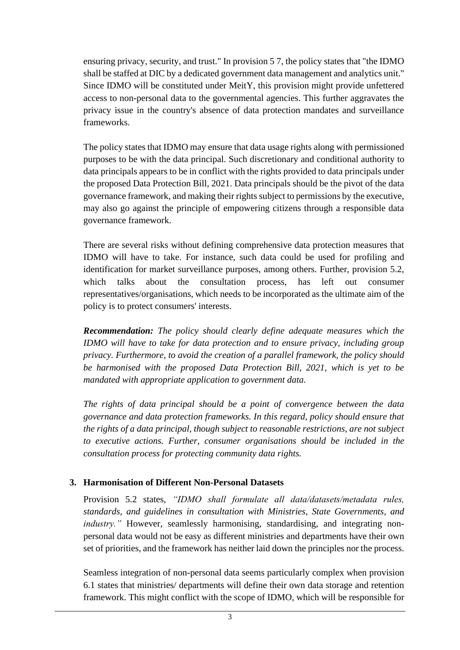ensuring privacy, security, and trust." In provision 5 7, the policy states that "the IDMO shall be staffed at DIC by a dedicated government data management and analytics unit." Since IDMO will be constituted under MeitY, this provision might provide unfettered access to non-personal data to the governmental agencies. This further aggravates the privacy issue in the country's absence of data protection mandates and surveillance frameworks.

The policy states that IDMO may ensure that data usage rights along with permissioned purposes to be with the data principal. Such discretionary and conditional authority to data principals appears to be in conflict with the rights provided to data principals under the proposed Data Protection Bill, 2021. Data principals should be the pivot of the data governance framework, and making their rights subject to permissions by the executive, may also go against the principle of empowering citizens through a responsible data governance framework.

There are several risks without defining comprehensive data protection measures that IDMO will have to take. For instance, such data could be used for profiling and identification for market surveillance purposes, among others. Further, provision 5.2, which talks about the consultation process, has left out consumer representatives/organisations, which needs to be incorporated as the ultimate aim of the policy is to protect consumers' interests.

*Recommendation: The policy should clearly define adequate measures which the IDMO will have to take for data protection and to ensure privacy, including group privacy. Furthermore, to avoid the creation of a parallel framework, the policy should be harmonised with the proposed Data Protection Bill, 2021, which is yet to be mandated with appropriate application to government data.* 

*The rights of data principal should be a point of convergence between the data governance and data protection frameworks. In this regard, policy should ensure that the rights of a data principal, though subject to reasonable restrictions, are not subject to executive actions. Further, consumer organisations should be included in the consultation process for protecting community data rights.*

## **3. Harmonisation of Different Non-Personal Datasets**

Provision 5.2 states, *"IDMO shall formulate all data/datasets/metadata rules, standards, and guidelines in consultation with Ministries, State Governments, and industry.*" However, seamlessly harmonising, standardising, and integrating nonpersonal data would not be easy as different ministries and departments have their own set of priorities, and the framework has neither laid down the principles nor the process.

Seamless integration of non-personal data seems particularly complex when provision 6.1 states that ministries/ departments will define their own data storage and retention framework. This might conflict with the scope of IDMO, which will be responsible for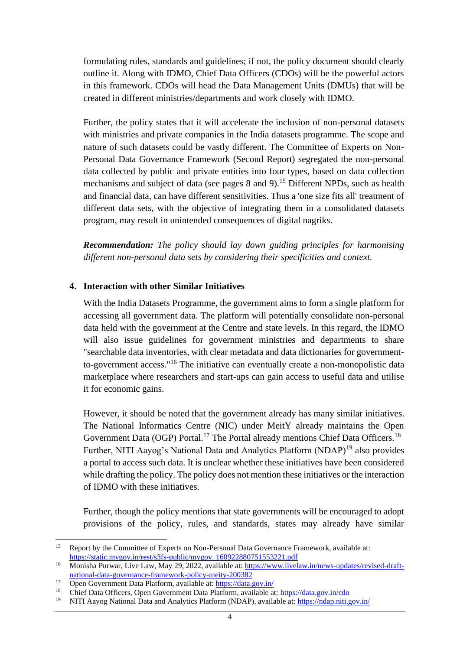formulating rules, standards and guidelines; if not, the policy document should clearly outline it. Along with IDMO, Chief Data Officers (CDOs) will be the powerful actors in this framework. CDOs will head the Data Management Units (DMUs) that will be created in different ministries/departments and work closely with IDMO.

Further, the policy states that it will accelerate the inclusion of non-personal datasets with ministries and private companies in the India datasets programme. The scope and nature of such datasets could be vastly different. The Committee of Experts on Non-Personal Data Governance Framework (Second Report) segregated the non-personal data collected by public and private entities into four types, based on data collection mechanisms and subject of data (see pages 8 and 9).<sup>15</sup> Different NPDs, such as health and financial data, can have different sensitivities. Thus a 'one size fits all' treatment of different data sets, with the objective of integrating them in a consolidated datasets program, may result in unintended consequences of digital nagriks.

*Recommendation: The policy should lay down guiding principles for harmonising different non-personal data sets by considering their specificities and context.* 

#### **4. Interaction with other Similar Initiatives**

With the India Datasets Programme, the government aims to form a single platform for accessing all government data. The platform will potentially consolidate non-personal data held with the government at the Centre and state levels. In this regard, the IDMO will also issue guidelines for government ministries and departments to share "searchable data inventories, with clear metadata and data dictionaries for governmentto-government access."<sup>16</sup> The initiative can eventually create a non-monopolistic data marketplace where researchers and start-ups can gain access to useful data and utilise it for economic gains.

However, it should be noted that the government already has many similar initiatives. The National Informatics Centre (NIC) under MeitY already maintains the Open Government Data (OGP) Portal.<sup>17</sup> The Portal already mentions Chief Data Officers.<sup>18</sup> Further, NITI Aayog's National Data and Analytics Platform (NDAP)<sup>19</sup> also provides a portal to access such data. It is unclear whether these initiatives have been considered while drafting the policy. The policy does not mention these initiatives or the interaction of IDMO with these initiatives.

Further, though the policy mentions that state governments will be encouraged to adopt provisions of the policy, rules, and standards, states may already have similar

<sup>&</sup>lt;sup>15</sup> Report by the Committee of Experts on Non-Personal Data Governance Framework, available at: [https://static.mygov.in/rest/s3fs-public/mygov\\_160922880751553221.pdf](https://static.mygov.in/rest/s3fs-public/mygov_160922880751553221.pdf)

<sup>16</sup> Monisha Purwar, Live Law, May 29, 2022, available at: [https://www.livelaw.in/news-updates/revised-draft](https://www.livelaw.in/news-updates/revised-draft-national-data-governance-framework-policy-meity-200382)[national-data-governance-framework-policy-meity-200382](https://www.livelaw.in/news-updates/revised-draft-national-data-governance-framework-policy-meity-200382)

<sup>17</sup> Open Government Data Platform, available at:<https://data.gov.in/>

<sup>18</sup> Chief Data Officers, Open Government Data Platform, available at:<https://data.gov.in/cdo>

<sup>19</sup> NITI Aayog National Data and Analytics Platform (NDAP), available at:<https://ndap.niti.gov.in/>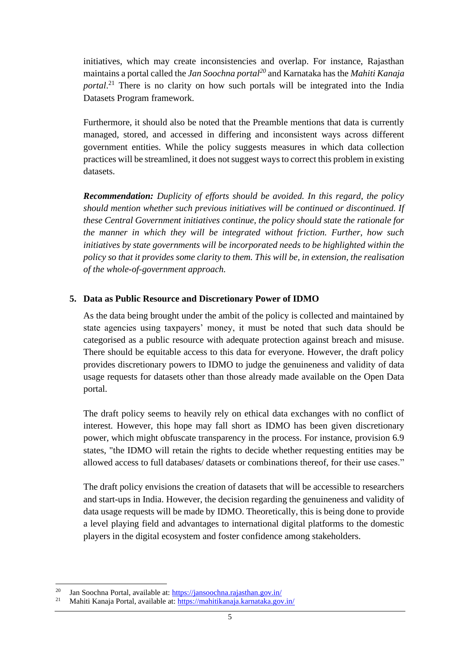initiatives, which may create inconsistencies and overlap. For instance, Rajasthan maintains a portal called the *Jan Soochna portal<sup>20</sup>* and Karnataka has the *Mahiti Kanaja portal*. <sup>21</sup> There is no clarity on how such portals will be integrated into the India Datasets Program framework.

Furthermore, it should also be noted that the Preamble mentions that data is currently managed, stored, and accessed in differing and inconsistent ways across different government entities. While the policy suggests measures in which data collection practices will be streamlined, it does not suggest ways to correct this problem in existing datasets.

*Recommendation: Duplicity of efforts should be avoided. In this regard, the policy should mention whether such previous initiatives will be continued or discontinued. If these Central Government initiatives continue, the policy should state the rationale for the manner in which they will be integrated without friction. Further, how such initiatives by state governments will be incorporated needs to be highlighted within the policy so that it provides some clarity to them. This will be, in extension, the realisation of the whole-of-government approach.*

#### **5. Data as Public Resource and Discretionary Power of IDMO**

As the data being brought under the ambit of the policy is collected and maintained by state agencies using taxpayers' money, it must be noted that such data should be categorised as a public resource with adequate protection against breach and misuse. There should be equitable access to this data for everyone. However, the draft policy provides discretionary powers to IDMO to judge the genuineness and validity of data usage requests for datasets other than those already made available on the Open Data portal.

The draft policy seems to heavily rely on ethical data exchanges with no conflict of interest. However, this hope may fall short as IDMO has been given discretionary power, which might obfuscate transparency in the process. For instance, provision 6.9 states, "the IDMO will retain the rights to decide whether requesting entities may be allowed access to full databases/ datasets or combinations thereof, for their use cases."

The draft policy envisions the creation of datasets that will be accessible to researchers and start-ups in India. However, the decision regarding the genuineness and validity of data usage requests will be made by IDMO. Theoretically, this is being done to provide a level playing field and advantages to international digital platforms to the domestic players in the digital ecosystem and foster confidence among stakeholders.

<sup>&</sup>lt;sup>20</sup> Jan Soochna Portal, available at:  $\frac{https://jansoochna.rajasthan.gov.in/}{\text{Mabiti Kanaja Portal available at: https://mabitikania.krantaka.$ 

<sup>21</sup> Mahiti Kanaja Portal, available at:<https://mahitikanaja.karnataka.gov.in/>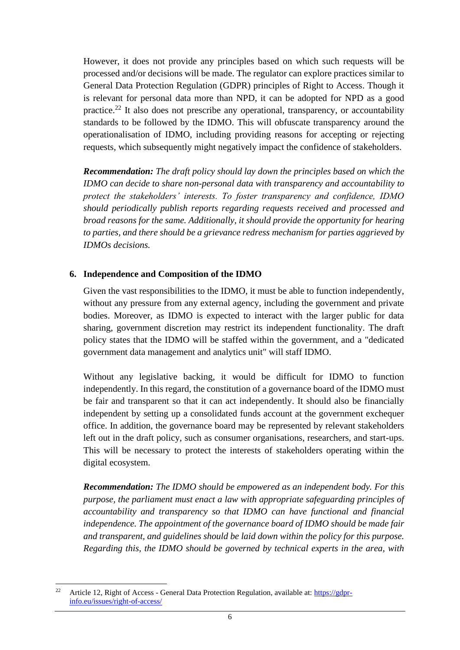However, it does not provide any principles based on which such requests will be processed and/or decisions will be made. The regulator can explore practices similar to General Data Protection Regulation (GDPR) principles of Right to Access. Though it is relevant for personal data more than NPD, it can be adopted for NPD as a good practice.<sup>22</sup> It also does not prescribe any operational, transparency, or accountability standards to be followed by the IDMO. This will obfuscate transparency around the operationalisation of IDMO, including providing reasons for accepting or rejecting requests, which subsequently might negatively impact the confidence of stakeholders.

*Recommendation: The draft policy should lay down the principles based on which the IDMO can decide to share non-personal data with transparency and accountability to protect the stakeholders' interests. To foster transparency and confidence, IDMO should periodically publish reports regarding requests received and processed and broad reasons for the same. Additionally, it should provide the opportunity for hearing to parties, and there should be a grievance redress mechanism for parties aggrieved by IDMOs decisions.*

#### **6. Independence and Composition of the IDMO**

Given the vast responsibilities to the IDMO, it must be able to function independently, without any pressure from any external agency, including the government and private bodies. Moreover, as IDMO is expected to interact with the larger public for data sharing, government discretion may restrict its independent functionality. The draft policy states that the IDMO will be staffed within the government, and a "dedicated government data management and analytics unit" will staff IDMO.

Without any legislative backing, it would be difficult for IDMO to function independently. In this regard, the constitution of a governance board of the IDMO must be fair and transparent so that it can act independently. It should also be financially independent by setting up a consolidated funds account at the government exchequer office. In addition, the governance board may be represented by relevant stakeholders left out in the draft policy, such as consumer organisations, researchers, and start-ups. This will be necessary to protect the interests of stakeholders operating within the digital ecosystem.

*Recommendation: The IDMO should be empowered as an independent body. For this purpose, the parliament must enact a law with appropriate safeguarding principles of accountability and transparency so that IDMO can have functional and financial independence. The appointment of the governance board of IDMO should be made fair and transparent, and guidelines should be laid down within the policy for this purpose. Regarding this, the IDMO should be governed by technical experts in the area, with* 

<sup>&</sup>lt;sup>22</sup> Article 12, Right of Access - General Data Protection Regulation, available at[: https://gdpr](https://gdpr-info.eu/issues/right-of-access/)[info.eu/issues/right-of-access/](https://gdpr-info.eu/issues/right-of-access/)